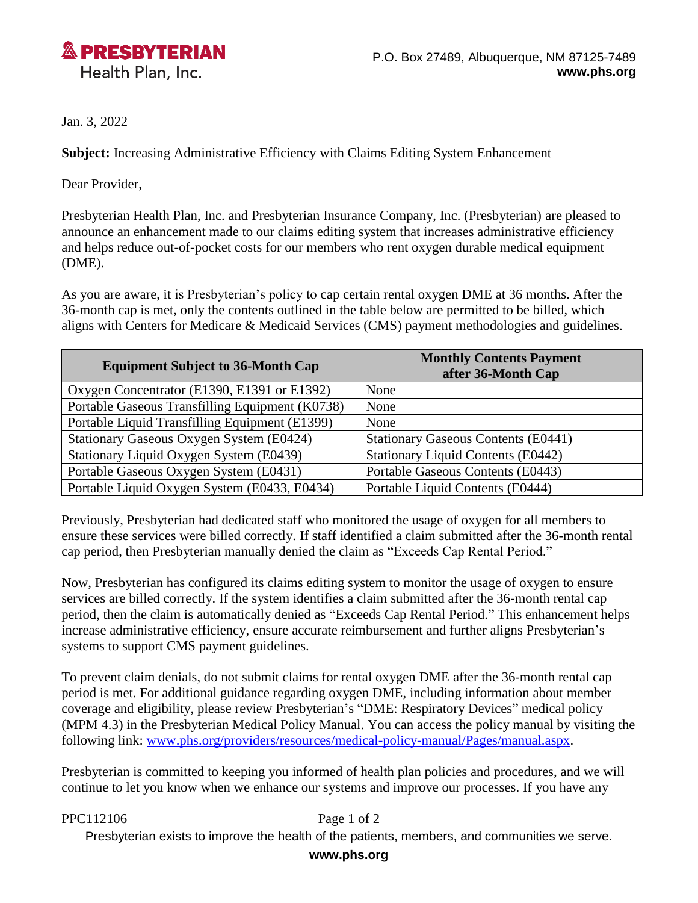

Jan. 3, 2022

**Subject:** Increasing Administrative Efficiency with Claims Editing System Enhancement

Dear Provider,

Presbyterian Health Plan, Inc. and Presbyterian Insurance Company, Inc. (Presbyterian) are pleased to announce an enhancement made to our claims editing system that increases administrative efficiency and helps reduce out-of-pocket costs for our members who rent oxygen durable medical equipment (DME).

As you are aware, it is Presbyterian's policy to cap certain rental oxygen DME at 36 months. After the 36-month cap is met, only the contents outlined in the table below are permitted to be billed, which aligns with Centers for Medicare & Medicaid Services (CMS) payment methodologies and guidelines.

| <b>Equipment Subject to 36-Month Cap</b>        | <b>Monthly Contents Payment</b><br>after 36-Month Cap |
|-------------------------------------------------|-------------------------------------------------------|
| Oxygen Concentrator (E1390, E1391 or E1392)     | None                                                  |
| Portable Gaseous Transfilling Equipment (K0738) | None                                                  |
| Portable Liquid Transfilling Equipment (E1399)  | None                                                  |
| Stationary Gaseous Oxygen System (E0424)        | <b>Stationary Gaseous Contents (E0441)</b>            |
| Stationary Liquid Oxygen System (E0439)         | <b>Stationary Liquid Contents (E0442)</b>             |
| Portable Gaseous Oxygen System (E0431)          | Portable Gaseous Contents (E0443)                     |
| Portable Liquid Oxygen System (E0433, E0434)    | Portable Liquid Contents (E0444)                      |

Previously, Presbyterian had dedicated staff who monitored the usage of oxygen for all members to ensure these services were billed correctly. If staff identified a claim submitted after the 36-month rental cap period, then Presbyterian manually denied the claim as "Exceeds Cap Rental Period."

Now, Presbyterian has configured its claims editing system to monitor the usage of oxygen to ensure services are billed correctly. If the system identifies a claim submitted after the 36-month rental cap period, then the claim is automatically denied as "Exceeds Cap Rental Period." This enhancement helps increase administrative efficiency, ensure accurate reimbursement and further aligns Presbyterian's systems to support CMS payment guidelines.

To prevent claim denials, do not submit claims for rental oxygen DME after the 36-month rental cap period is met. For additional guidance regarding oxygen DME, including information about member coverage and eligibility, please review Presbyterian's "DME: Respiratory Devices" medical policy (MPM 4.3) in the Presbyterian Medical Policy Manual. You can access the policy manual by visiting the following link: [www.phs.org/providers/resources/medical-policy-manual/Pages/manual.aspx.](http://www.phs.org/providers/resources/medical-policy-manual/Pages/manual.aspx)

Presbyterian is committed to keeping you informed of health plan policies and procedures, and we will continue to let you know when we enhance our systems and improve our processes. If you have any

PPC112106 Page 1 of 2

Presbyterian exists to improve the health of the patients, members, and communities we serve.

**www.phs.org**